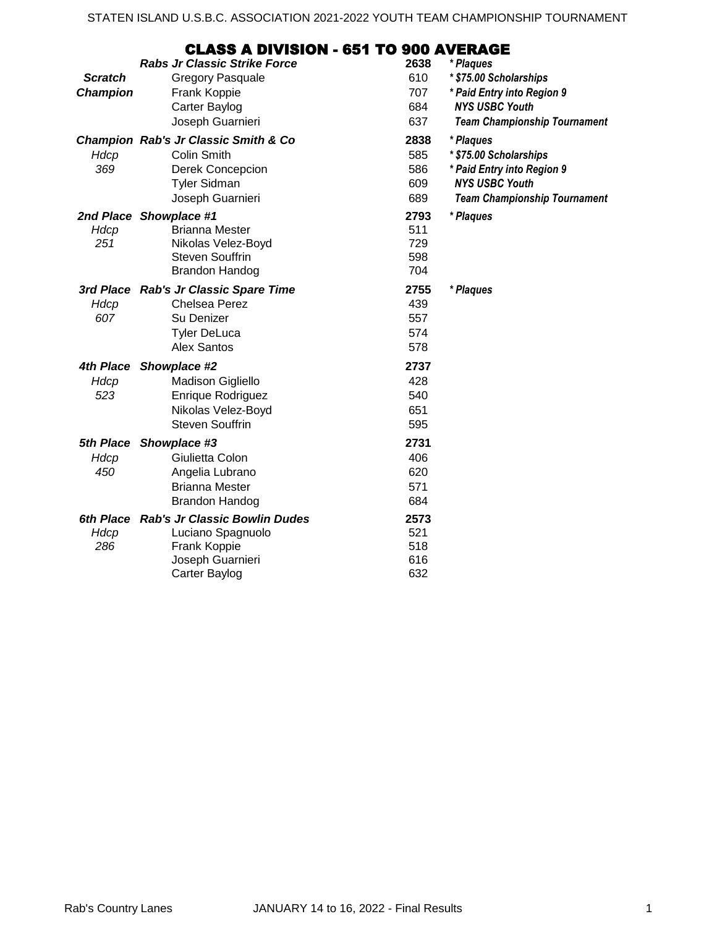## CLASS A DIVISION - 651 TO 900 AVERAGE

|                | <b>Rabs Jr Classic Strike Force</b>                 | 2638        | * Plaques                           |
|----------------|-----------------------------------------------------|-------------|-------------------------------------|
| <b>Scratch</b> | <b>Gregory Pasquale</b>                             | 610         | * \$75.00 Scholarships              |
| Champion       | Frank Koppie                                        | 707         | * Paid Entry into Region 9          |
|                | Carter Baylog                                       | 684         | <b>NYS USBC Youth</b>               |
|                | Joseph Guarnieri                                    | 637         | <b>Team Championship Tournament</b> |
| Hdcp           | Champion Rab's Jr Classic Smith & Co<br>Colin Smith | 2838<br>585 | * Plaques<br>* \$75.00 Scholarships |
| 369            | Derek Concepcion                                    | 586         | * Paid Entry into Region 9          |
|                | <b>Tyler Sidman</b>                                 | 609         | <b>NYS USBC Youth</b>               |
|                | Joseph Guarnieri                                    | 689         | <b>Team Championship Tournament</b> |
|                |                                                     |             |                                     |
|                | 2nd Place Showplace #1<br><b>Brianna Mester</b>     | 2793<br>511 | * Plaques                           |
| Hdcp<br>251    | Nikolas Velez-Boyd                                  | 729         |                                     |
|                | <b>Steven Souffrin</b>                              | 598         |                                     |
|                | <b>Brandon Handog</b>                               | 704         |                                     |
|                | 3rd Place Rab's Jr Classic Spare Time               | 2755        | * Plaques                           |
| Hdcp           | <b>Chelsea Perez</b>                                | 439         |                                     |
| 607            | Su Denizer                                          | 557         |                                     |
|                | <b>Tyler DeLuca</b>                                 | 574         |                                     |
|                | <b>Alex Santos</b>                                  | 578         |                                     |
| 4th Place      | Showplace #2                                        | 2737        |                                     |
| Hdcp           | Madison Gigliello                                   | 428         |                                     |
| 523            | Enrique Rodriguez                                   | 540         |                                     |
|                | Nikolas Velez-Boyd                                  | 651         |                                     |
|                | <b>Steven Souffrin</b>                              | 595         |                                     |
|                | 5th Place Showplace #3                              | 2731        |                                     |
| Hdcp           | Giulietta Colon                                     | 406         |                                     |
| 450            | Angelia Lubrano                                     | 620         |                                     |
|                | <b>Brianna Mester</b>                               | 571         |                                     |
|                | <b>Brandon Handog</b>                               | 684         |                                     |
|                | 6th Place Rab's Jr Classic Bowlin Dudes             | 2573        |                                     |
| Hdcp           | Luciano Spagnuolo                                   | 521         |                                     |
| 286            | Frank Koppie                                        | 518         |                                     |
|                | Joseph Guarnieri                                    | 616         |                                     |
|                | Carter Baylog                                       | 632         |                                     |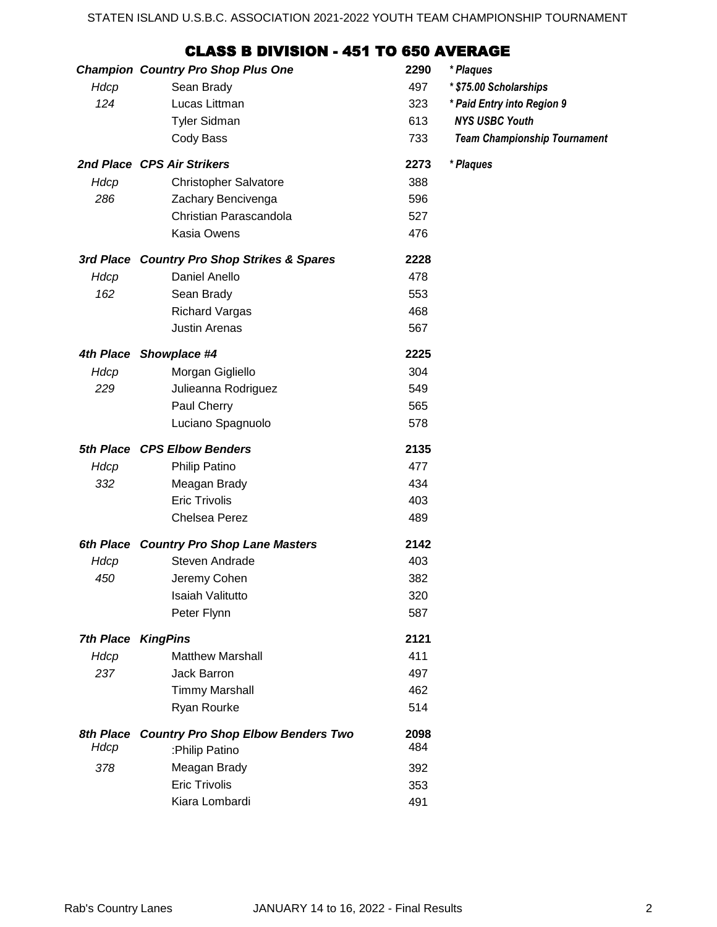## CLASS B DIVISION - 451 TO 650 AVERAGE

|                           | <b>Champion Country Pro Shop Plus One</b>   | 2290 | * Plaques                           |
|---------------------------|---------------------------------------------|------|-------------------------------------|
| Hdcp                      | Sean Brady                                  | 497  | * \$75.00 Scholarships              |
| 124                       | Lucas Littman                               | 323  | * Paid Entry into Region 9          |
|                           | <b>Tyler Sidman</b>                         | 613  | <b>NYS USBC Youth</b>               |
|                           | Cody Bass                                   | 733  | <b>Team Championship Tournament</b> |
|                           | 2nd Place CPS Air Strikers                  | 2273 | * Plaques                           |
| Hdcp                      | <b>Christopher Salvatore</b>                | 388  |                                     |
| 286                       | Zachary Bencivenga                          | 596  |                                     |
|                           | Christian Parascandola                      | 527  |                                     |
|                           | Kasia Owens                                 | 476  |                                     |
|                           | 3rd Place Country Pro Shop Strikes & Spares | 2228 |                                     |
| Hdcp                      | Daniel Anello                               | 478  |                                     |
| 162                       | Sean Brady                                  | 553  |                                     |
|                           | <b>Richard Vargas</b>                       | 468  |                                     |
|                           | <b>Justin Arenas</b>                        | 567  |                                     |
|                           | 4th Place Showplace #4                      | 2225 |                                     |
| Hdcp                      | Morgan Gigliello                            | 304  |                                     |
| 229                       | Julieanna Rodriguez                         | 549  |                                     |
|                           | Paul Cherry                                 | 565  |                                     |
|                           | Luciano Spagnuolo                           | 578  |                                     |
|                           | 5th Place CPS Elbow Benders                 | 2135 |                                     |
| Hdcp                      | Philip Patino                               | 477  |                                     |
| 332                       | Meagan Brady                                | 434  |                                     |
|                           | <b>Eric Trivolis</b>                        | 403  |                                     |
|                           | Chelsea Perez                               | 489  |                                     |
|                           | 6th Place Country Pro Shop Lane Masters     | 2142 |                                     |
| Hdcp                      | Steven Andrade                              | 403  |                                     |
| 450                       | Jeremy Cohen                                | 382  |                                     |
|                           | <b>Isaiah Valitutto</b>                     | 320  |                                     |
|                           | Peter Flynn                                 | 587  |                                     |
| <b>7th Place KingPins</b> |                                             | 2121 |                                     |
| Hdcp                      | <b>Matthew Marshall</b>                     | 411  |                                     |
| 237                       | Jack Barron                                 | 497  |                                     |
|                           | <b>Timmy Marshall</b>                       | 462  |                                     |
|                           | Ryan Rourke                                 | 514  |                                     |
| 8th Place                 | <b>Country Pro Shop Elbow Benders Two</b>   | 2098 |                                     |
| Hdcp                      | :Philip Patino                              | 484  |                                     |
| 378                       | Meagan Brady                                | 392  |                                     |
|                           | <b>Eric Trivolis</b>                        | 353  |                                     |
|                           | Kiara Lombardi                              | 491  |                                     |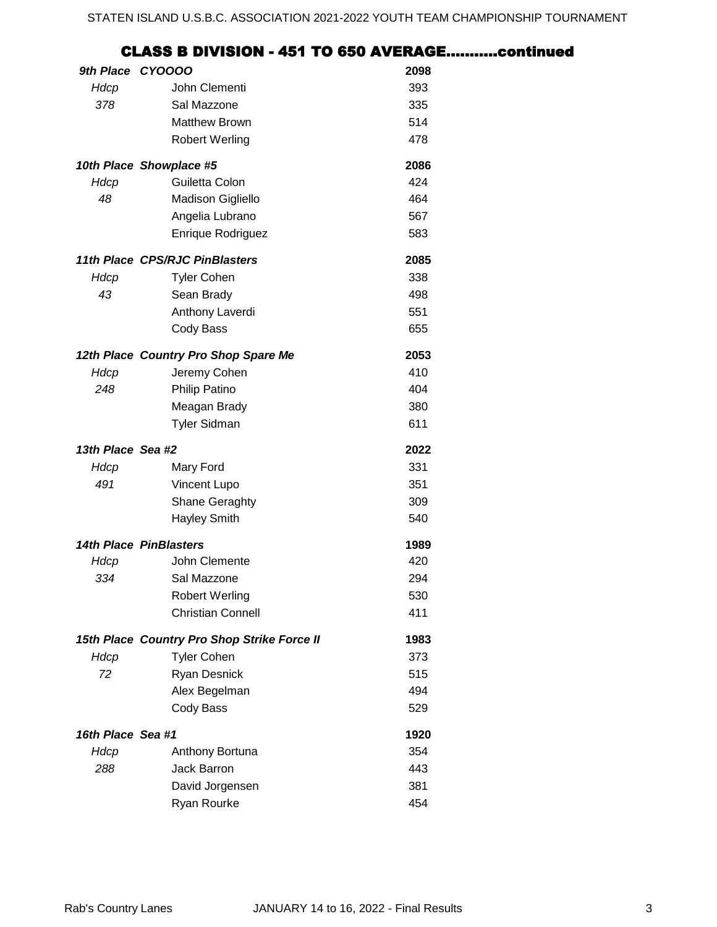## *9th Place* **2098** *CYOOOO Hdcp* John Clementi 393 *378* Sal Mazzone 335 Matthew Brown 514 Robert Werling 478 *10th Place* **2086** *Showplace #5 Hdcp* Guiletta Colon 424 48 Madison Gigliello **464** CLASS B DIVISION - 451 TO 650 AVERAGE………..continued

Angelia Lubrano 567 Enrique Rodriguez **583** 

*11th Place* **2085** *CPS/RJC PinBlasters*

| Hdcp                   | <b>Tyler Cohen</b>                          | 338  |
|------------------------|---------------------------------------------|------|
| 43                     | Sean Brady                                  | 498  |
|                        | Anthony Laverdi                             | 551  |
|                        | Cody Bass                                   | 655  |
|                        | 12th Place Country Pro Shop Spare Me        | 2053 |
| Hdcp                   | Jeremy Cohen                                | 410  |
| 248                    | <b>Philip Patino</b>                        | 404  |
|                        | Meagan Brady                                | 380  |
|                        | <b>Tyler Sidman</b>                         | 611  |
| 13th Place Sea #2      |                                             | 2022 |
| Hdcp                   | Mary Ford                                   | 331  |
| 491                    | <b>Vincent Lupo</b>                         | 351  |
|                        | <b>Shane Geraghty</b>                       | 309  |
|                        | <b>Hayley Smith</b>                         | 540  |
| 14th Place PinBlasters |                                             | 1989 |
| Hdcp                   | John Clemente                               | 420  |
| 334                    | Sal Mazzone                                 | 294  |
|                        | <b>Robert Werling</b>                       | 530  |
|                        | <b>Christian Connell</b>                    | 411  |
|                        | 15th Place Country Pro Shop Strike Force II | 1983 |
| Hdcp                   | <b>Tyler Cohen</b>                          | 373  |
| 72                     | <b>Ryan Desnick</b>                         | 515  |
|                        | Alex Begelman                               | 494  |
|                        | Cody Bass                                   | 529  |
| 16th Place Sea #1      |                                             | 1920 |
| Hdcp                   | Anthony Bortuna                             | 354  |
| 288                    | Jack Barron                                 | 443  |
|                        | David Jorgensen                             | 381  |
|                        | <b>Ryan Rourke</b>                          | 454  |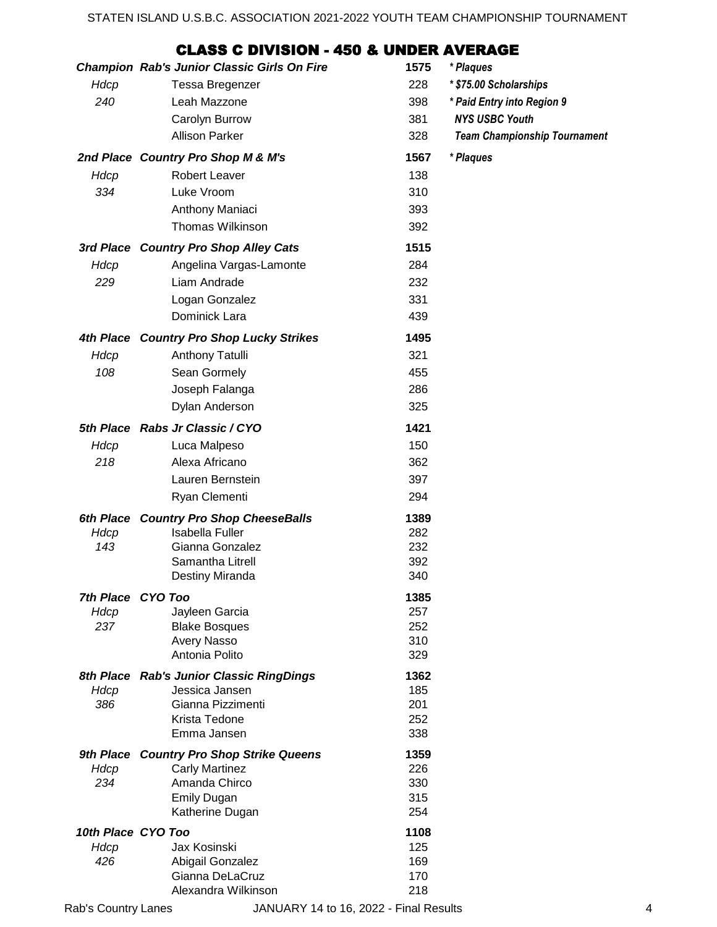## CLASS C DIVISION - 450 & UNDER AVERAGE

|                            | <b>Champion Rab's Junior Classic Girls On Fire</b> | 1575        | * Plaques                           |
|----------------------------|----------------------------------------------------|-------------|-------------------------------------|
| Hdcp                       | <b>Tessa Bregenzer</b>                             | 228         | * \$75.00 Scholarships              |
| 240                        | Leah Mazzone                                       | 398         | * Paid Entry into Region 9          |
|                            | Carolyn Burrow                                     | 381         | <b>NYS USBC Youth</b>               |
|                            | <b>Allison Parker</b>                              | 328         | <b>Team Championship Tournament</b> |
|                            | 2nd Place Country Pro Shop M & M's                 | 1567        | * Plaques                           |
| Hdcp                       | Robert Leaver                                      | 138         |                                     |
| 334                        | Luke Vroom                                         | 310         |                                     |
|                            | Anthony Maniaci                                    | 393         |                                     |
|                            | Thomas Wilkinson                                   | 392         |                                     |
|                            | 3rd Place Country Pro Shop Alley Cats              | 1515        |                                     |
| Hdcp                       | Angelina Vargas-Lamonte                            | 284         |                                     |
| 229                        | Liam Andrade                                       | 232         |                                     |
|                            | Logan Gonzalez                                     | 331         |                                     |
|                            | Dominick Lara                                      | 439         |                                     |
|                            | 4th Place Country Pro Shop Lucky Strikes           | 1495        |                                     |
| Hdcp                       | <b>Anthony Tatulli</b>                             | 321         |                                     |
| 108                        | Sean Gormely                                       | 455         |                                     |
|                            | Joseph Falanga                                     | 286         |                                     |
|                            | Dylan Anderson                                     | 325         |                                     |
|                            | 5th Place Rabs Jr Classic / CYO                    | 1421        |                                     |
| Hdcp                       | Luca Malpeso                                       | 150         |                                     |
| 218                        | Alexa Africano                                     | 362         |                                     |
|                            | Lauren Bernstein                                   | 397         |                                     |
|                            | Ryan Clementi                                      | 294         |                                     |
|                            | 6th Place Country Pro Shop CheeseBalls             | 1389        |                                     |
| Hdcp                       | <b>Isabella Fuller</b>                             | 282         |                                     |
| 143                        | Gianna Gonzalez                                    | 232         |                                     |
|                            | Samantha Litrell<br>Destiny Miranda                | 392<br>340  |                                     |
| 7th Place CYO Too          |                                                    | 1385        |                                     |
| Hdcp                       | Jayleen Garcia                                     | 257         |                                     |
| 237                        | <b>Blake Bosques</b>                               | 252         |                                     |
|                            | Avery Nasso                                        | 310         |                                     |
|                            | Antonia Polito                                     | 329         |                                     |
| 8th Place                  | <b>Rab's Junior Classic RingDings</b>              | 1362        |                                     |
| Hdcp                       | Jessica Jansen                                     | 185         |                                     |
| 386                        | Gianna Pizzimenti<br>Krista Tedone                 | 201<br>252  |                                     |
|                            | Emma Jansen                                        | 338         |                                     |
|                            | 9th Place Country Pro Shop Strike Queens           | 1359        |                                     |
| Hdcp                       | <b>Carly Martinez</b>                              | 226         |                                     |
| 234                        | Amanda Chirco                                      | 330         |                                     |
|                            | <b>Emily Dugan</b>                                 | 315         |                                     |
|                            | Katherine Dugan                                    | 254         |                                     |
| 10th Place CYO Too<br>Hdcp | Jax Kosinski                                       | 1108<br>125 |                                     |
| 426                        | Abigail Gonzalez                                   | 169         |                                     |
|                            | Gianna DeLaCruz                                    | 170         |                                     |
|                            | Alexandra Wilkinson                                | 218         |                                     |
| Rab's Country Lanes        | JANUARY 14 to 16, 2022 - Final Results             |             | 4                                   |